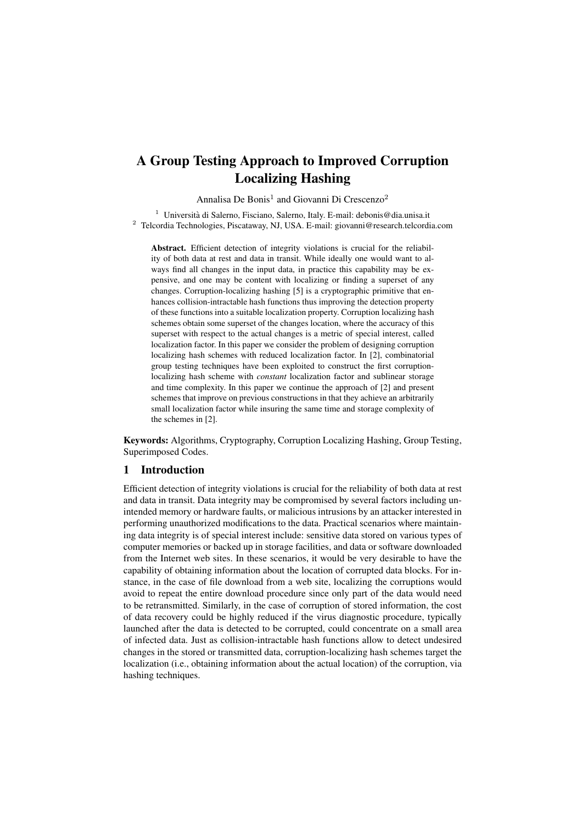# A Group Testing Approach to Improved Corruption Localizing Hashing

Annalisa De Bonis<sup>1</sup> and Giovanni Di Crescenzo<sup>2</sup>

<sup>1</sup> Università di Salerno, Fisciano, Salerno, Italy. E-mail: debonis@dia.unisa.it <sup>2</sup> Telcordia Technologies, Piscataway, NJ, USA. E-mail: giovanni@research.telcordia.com

Abstract. Efficient detection of integrity violations is crucial for the reliability of both data at rest and data in transit. While ideally one would want to always find all changes in the input data, in practice this capability may be expensive, and one may be content with localizing or finding a superset of any changes. Corruption-localizing hashing [5] is a cryptographic primitive that enhances collision-intractable hash functions thus improving the detection property of these functions into a suitable localization property. Corruption localizing hash schemes obtain some superset of the changes location, where the accuracy of this superset with respect to the actual changes is a metric of special interest, called localization factor. In this paper we consider the problem of designing corruption localizing hash schemes with reduced localization factor. In [2], combinatorial group testing techniques have been exploited to construct the first corruptionlocalizing hash scheme with *constant* localization factor and sublinear storage and time complexity. In this paper we continue the approach of [2] and present schemes that improve on previous constructions in that they achieve an arbitrarily small localization factor while insuring the same time and storage complexity of the schemes in [2].

Keywords: Algorithms, Cryptography, Corruption Localizing Hashing, Group Testing, Superimposed Codes.

# 1 Introduction

Efficient detection of integrity violations is crucial for the reliability of both data at rest and data in transit. Data integrity may be compromised by several factors including unintended memory or hardware faults, or malicious intrusions by an attacker interested in performing unauthorized modifications to the data. Practical scenarios where maintaining data integrity is of special interest include: sensitive data stored on various types of computer memories or backed up in storage facilities, and data or software downloaded from the Internet web sites. In these scenarios, it would be very desirable to have the capability of obtaining information about the location of corrupted data blocks. For instance, in the case of file download from a web site, localizing the corruptions would avoid to repeat the entire download procedure since only part of the data would need to be retransmitted. Similarly, in the case of corruption of stored information, the cost of data recovery could be highly reduced if the virus diagnostic procedure, typically launched after the data is detected to be corrupted, could concentrate on a small area of infected data. Just as collision-intractable hash functions allow to detect undesired changes in the stored or transmitted data, corruption-localizing hash schemes target the localization (i.e., obtaining information about the actual location) of the corruption, via hashing techniques.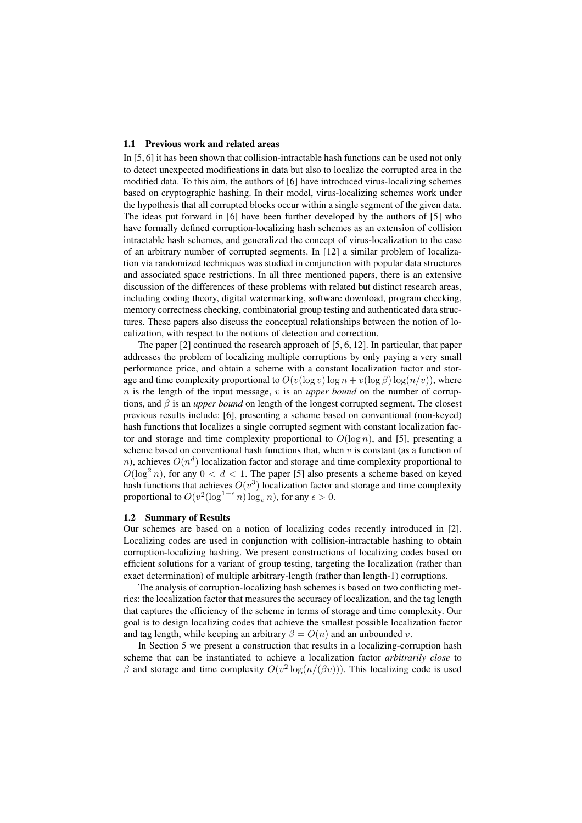#### 1.1 Previous work and related areas

In [5, 6] it has been shown that collision-intractable hash functions can be used not only to detect unexpected modifications in data but also to localize the corrupted area in the modified data. To this aim, the authors of [6] have introduced virus-localizing schemes based on cryptographic hashing. In their model, virus-localizing schemes work under the hypothesis that all corrupted blocks occur within a single segment of the given data. The ideas put forward in [6] have been further developed by the authors of [5] who have formally defined corruption-localizing hash schemes as an extension of collision intractable hash schemes, and generalized the concept of virus-localization to the case of an arbitrary number of corrupted segments. In [12] a similar problem of localization via randomized techniques was studied in conjunction with popular data structures and associated space restrictions. In all three mentioned papers, there is an extensive discussion of the differences of these problems with related but distinct research areas, including coding theory, digital watermarking, software download, program checking, memory correctness checking, combinatorial group testing and authenticated data structures. These papers also discuss the conceptual relationships between the notion of localization, with respect to the notions of detection and correction.

The paper [2] continued the research approach of [5, 6, 12]. In particular, that paper addresses the problem of localizing multiple corruptions by only paying a very small performance price, and obtain a scheme with a constant localization factor and storage and time complexity proportional to  $O(v(\log v) \log n + v(\log \beta) \log(n/v))$ , where  $n$  is the length of the input message, v is an *upper bound* on the number of corruptions, and  $\beta$  is an *upper bound* on length of the longest corrupted segment. The closest previous results include: [6], presenting a scheme based on conventional (non-keyed) hash functions that localizes a single corrupted segment with constant localization factor and storage and time complexity proportional to  $O(\log n)$ , and [5], presenting a scheme based on conventional hash functions that, when  $v$  is constant (as a function of n), achieves  $O(n^d)$  localization factor and storage and time complexity proportional to  $O(\log^2 n)$ , for any  $0 < d < 1$ . The paper [5] also presents a scheme based on keyed hash functions that achieves  $O(v^3)$  localization factor and storage and time complexity proportional to  $O(v^2(\log^{1+\epsilon} n) \log_n n)$ , for any  $\epsilon > 0$ .

#### 1.2 Summary of Results

Our schemes are based on a notion of localizing codes recently introduced in [2]. Localizing codes are used in conjunction with collision-intractable hashing to obtain corruption-localizing hashing. We present constructions of localizing codes based on efficient solutions for a variant of group testing, targeting the localization (rather than exact determination) of multiple arbitrary-length (rather than length-1) corruptions.

The analysis of corruption-localizing hash schemes is based on two conflicting metrics: the localization factor that measures the accuracy of localization, and the tag length that captures the efficiency of the scheme in terms of storage and time complexity. Our goal is to design localizing codes that achieve the smallest possible localization factor and tag length, while keeping an arbitrary  $\beta = O(n)$  and an unbounded v.

In Section 5 we present a construction that results in a localizing-corruption hash scheme that can be instantiated to achieve a localization factor *arbitrarily close* to β and storage and time complexity  $O(v^2 \log(n/(\beta v)))$ . This localizing code is used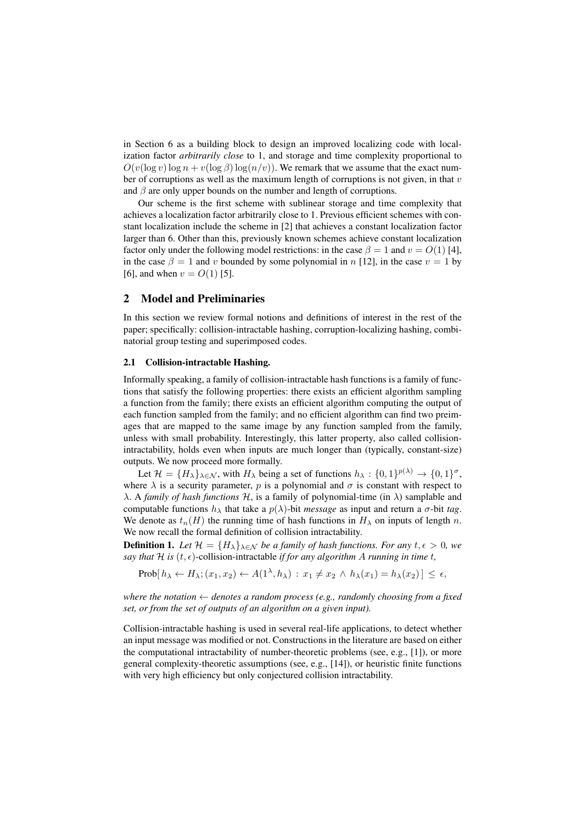in Section 6 as a building block to design an improved localizing code with localization factor *arbitrarily close* to 1, and storage and time complexity proportional to  $O(v(\log v) \log n + v(\log \beta) \log(n/v))$ . We remark that we assume that the exact number of corruptions as well as the maximum length of corruptions is not given, in that  $v$ and  $\beta$  are only upper bounds on the number and length of corruptions.

Our scheme is the first scheme with sublinear storage and time complexity that achieves a localization factor arbitrarily close to 1. Previous efficient schemes with constant localization include the scheme in [2] that achieves a constant localization factor larger than 6. Other than this, previously known schemes achieve constant localization factor only under the following model restrictions: in the case  $\beta = 1$  and  $v = O(1)$  [4], in the case  $\beta = 1$  and v bounded by some polynomial in n [12], in the case  $v = 1$  by [6], and when  $v = O(1)$  [5].

# 2 Model and Preliminaries

In this section we review formal notions and definitions of interest in the rest of the paper; specifically: collision-intractable hashing, corruption-localizing hashing, combinatorial group testing and superimposed codes.

#### 2.1 Collision-intractable Hashing.

Informally speaking, a family of collision-intractable hash functions is a family of functions that satisfy the following properties: there exists an efficient algorithm sampling a function from the family; there exists an efficient algorithm computing the output of each function sampled from the family; and no efficient algorithm can find two preimages that are mapped to the same image by any function sampled from the family, unless with small probability. Interestingly, this latter property, also called collisionintractability, holds even when inputs are much longer than (typically, constant-size) outputs. We now proceed more formally.

Let  $\mathcal{H} = \{H_{\lambda}\}_{{\lambda \in \mathcal{N}}}$ , with  $H_{\lambda}$  being a set of functions  $h_{\lambda} : \{0,1\}^{p(\lambda)} \to \{0,1\}^{\sigma}$ , where  $\lambda$  is a security parameter, p is a polynomial and  $\sigma$  is constant with respect to  $\lambda$ . A *family of hash functions*  $H$ , is a family of polynomial-time (in  $\lambda$ ) samplable and computable functions  $h_{\lambda}$  that take a  $p(\lambda)$ -bit *message* as input and return a  $\sigma$ -bit *tag*. We denote as  $t_n(H)$  the running time of hash functions in  $H_\lambda$  on inputs of length n. We now recall the formal definition of collision intractability.

**Definition 1.** Let  $\mathcal{H} = \{H_{\lambda}\}_{\lambda \in \mathcal{N}}$  be a family of hash functions. For any  $t, \epsilon > 0$ , we *say that*  $H$  *is*  $(t, \epsilon)$ -collision-intractable *if for any algorithm* A *running in time*  $t$ *,* 

 $\text{Prob}[ h_{\lambda} \leftarrow H_{\lambda}; (x_1, x_2) \leftarrow A(1^{\lambda}, h_{\lambda}): x_1 \neq x_2 \wedge h_{\lambda}(x_1) = h_{\lambda}(x_2) \leq \epsilon,$ 

*where the notation*  $\leftarrow$  *denotes a random process (e.g., randomly choosing from a fixed set, or from the set of outputs of an algorithm on a given input).*

Collision-intractable hashing is used in several real-life applications, to detect whether an input message was modified or not. Constructions in the literature are based on either the computational intractability of number-theoretic problems (see, e.g.,  $[1]$ ), or more general complexity-theoretic assumptions (see, e.g., [14]), or heuristic finite functions with very high efficiency but only conjectured collision intractability.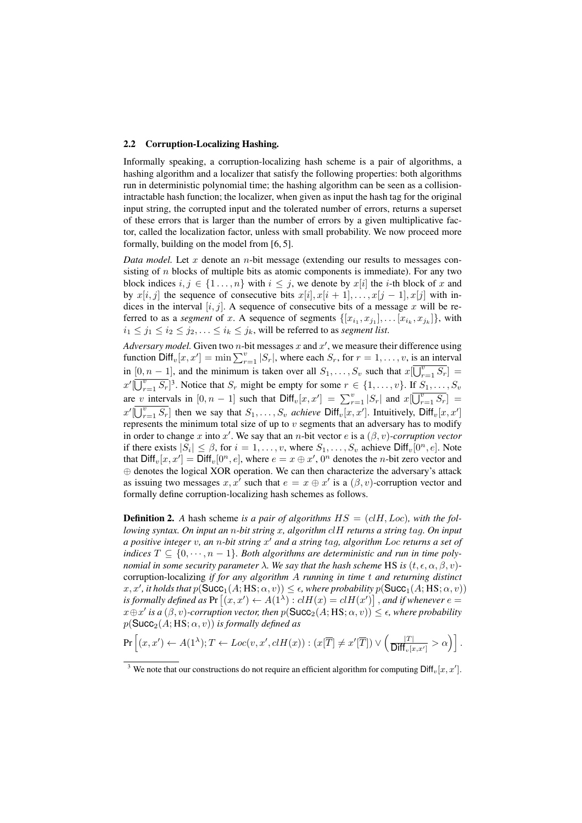#### 2.2 Corruption-Localizing Hashing.

Informally speaking, a corruption-localizing hash scheme is a pair of algorithms, a hashing algorithm and a localizer that satisfy the following properties: both algorithms run in deterministic polynomial time; the hashing algorithm can be seen as a collisionintractable hash function; the localizer, when given as input the hash tag for the original input string, the corrupted input and the tolerated number of errors, returns a superset of these errors that is larger than the number of errors by a given multiplicative factor, called the localization factor, unless with small probability. We now proceed more formally, building on the model from [6, 5].

*Data model.* Let x denote an  $n$ -bit message (extending our results to messages consisting of  $n$  blocks of multiple bits as atomic components is immediate). For any two block indices  $i, j \in \{1, ..., n\}$  with  $i \leq j$ , we denote by  $x[i]$  the *i*-th block of x and by  $x[i, j]$  the sequence of consecutive bits  $x[i], x[i + 1], \ldots, x[j - 1], x[j]$  with indices in the interval  $[i, j]$ . A sequence of consecutive bits of a message x will be referred to as a *segment* of x. A sequence of segments  $\{[x_{i_1}, x_{j_1}], \ldots [x_{i_k}, x_{j_k}]\}$ , with  $i_1 \leq j_1 \leq i_2 \leq j_2, \ldots \leq i_k \leq j_k$ , will be referred to as *segment list*.

Adversary model. Given two *n*-bit messages x and  $x'$ , we measure their difference using function  $\text{Diff}_v[x, x'] = \min \sum_{r=1}^v |S_r|$ , where each  $S_r$ , for  $r = 1, \ldots, v$ , is an interval in  $[0, n-1]$ , and the minimum is taken over all  $S_1, \ldots, S_v$  such that  $x[\overline{U_{r=1}^v S_r}]$  =  $x'[\overline{\bigcup_{r=1}^{v} S_r}]^3$ . Notice that  $S_r$  might be empty for some  $r \in \{1, \ldots, v\}$ . If  $S_1, \ldots, S_v$ are v intervals in  $[0, n-1]$  such that  $\text{Diff}_v[x, x'] = \sum_{r=1}^v |S_r|$  and  $x[\overline{U_{r=1}^v S_r}] =$  $x'[\overline{\bigcup_{r=1}^{v} S_r}]$  then we say that  $S_1, \ldots, S_v$  *achieve*  $\text{Diff}_v[x, x']$ . Intuitively,  $\text{Diff}_v[x, x']$ represents the minimum total size of up to  $v$  segments that an adversary has to modify in order to change x into x'. We say that an n-bit vector  $e$  is a  $(\beta, v)$ -corruption vector if there exists  $|S_i| \leq \beta$ , for  $i = 1, \ldots, v$ , where  $S_1, \ldots, S_v$  achieve  $\text{Diff}_v[0^n, e]$ . Note that  $\text{Diff}_v[x, x'] = \text{Diff}_v[0^n, e]$ , where  $e = x \oplus x'$ ,  $0^n$  denotes the *n*-bit zero vector and ⊕ denotes the logical XOR operation. We can then characterize the adversary's attack as issuing two messages x, x' such that  $e = x \oplus x'$  is a  $(\beta, v)$ -corruption vector and formally define corruption-localizing hash schemes as follows.

**Definition 2.** A hash scheme is a pair of algorithms  $HS = (cIH, Loc)$ , with the fol*lowing syntax. On input an* n*-bit string* x*, algorithm* clH *returns a string* tag*. On input a positive integer* v*, an* n*-bit string* x" *and a string* tag*, algorithm* Loc *returns a set of indices*  $T \subseteq \{0, \dots, n-1\}$ *. Both algorithms are deterministic and run in time polynomial in some security parameter*  $\lambda$ *. We say that the hash scheme* HS *is*  $(t, \epsilon, \alpha, \beta, v)$ corruption-localizing *if for any algorithm* A *running in time* t *and returning distinct*  $f(x, x', it holds that p(Succ_1(A; HS; \alpha, v)) \le \epsilon$ , where probability  $p(Succ_1(A; HS; \alpha, v))$ *is formally defined as*  $Pr[(x, x') \leftarrow A(1^{\lambda}) : clH(x) = clH(x')]$ , *and if whenever*  $e =$  $x \oplus x'$  *is a*  $(\beta, v)$ -corruption vector, then  $p(\text{Succ}_2(A; \text{HS}; \alpha, v)) \leq \epsilon$ , where probability  $p(\text{Succ}_2(A; \text{HS}; \alpha, v))$  *is formally defined as* 

$$
\Pr\left[(x,x') \leftarrow A(1^{\lambda}); T \leftarrow Loc(v,x',clH(x)) : (x[\overline{T}] \neq x'[\overline{T}]) \vee \left(\frac{|T|}{\text{Diff}_{v}[x,x']} > \alpha\right)\right].
$$

<sup>&</sup>lt;sup>3</sup> We note that our constructions do not require an efficient algorithm for computing  $\text{Diff}_{v}[x, x']$ .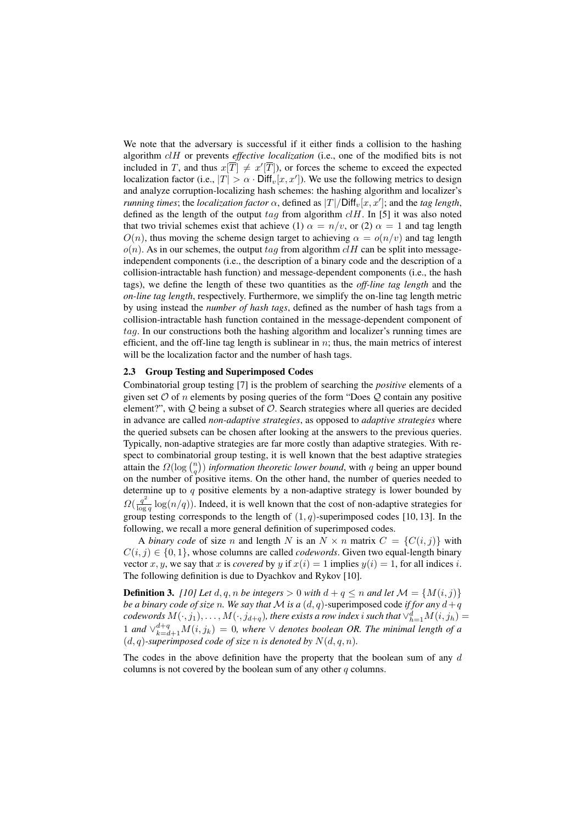We note that the adversary is successful if it either finds a collision to the hashing algorithm clH or prevents *effective localization* (i.e., one of the modified bits is not included in T, and thus  $x[T] \neq x'[T]$ , or forces the scheme to exceed the expected localization factor (i.e.,  $|T| > \alpha \cdot \text{Diff}_{v}[x, x'])$ ). We use the following metrics to design and analyze corruption-localizing hash schemes: the hashing algorithm and localizer's *running times*; the *localization factor*  $\alpha$ , defined as  $|T|/Diff_v[x, x']$ ; and the *tag length*, defined as the length of the output tag from algorithm  $clH$ . In [5] it was also noted that two trivial schemes exist that achieve (1)  $\alpha = n/v$ , or (2)  $\alpha = 1$  and tag length  $O(n)$ , thus moving the scheme design target to achieving  $\alpha = o(n/v)$  and tag length  $o(n)$ . As in our schemes, the output tag from algorithm  $cI$  can be split into messageindependent components (i.e., the description of a binary code and the description of a collision-intractable hash function) and message-dependent components (i.e., the hash tags), we define the length of these two quantities as the *off-line tag length* and the *on-line tag length*, respectively. Furthermore, we simplify the on-line tag length metric by using instead the *number of hash tags*, defined as the number of hash tags from a collision-intractable hash function contained in the message-dependent component of tag. In our constructions both the hashing algorithm and localizer's running times are efficient, and the off-line tag length is sublinear in  $n$ ; thus, the main metrics of interest will be the localization factor and the number of hash tags.

#### 2.3 Group Testing and Superimposed Codes

Combinatorial group testing [7] is the problem of searching the *positive* elements of a given set  $\mathcal O$  of n elements by posing queries of the form "Does  $\mathcal Q$  contain any positive element?", with  $Q$  being a subset of  $O$ . Search strategies where all queries are decided in advance are called *non-adaptive strategies*, as opposed to *adaptive strategies* where the queried subsets can be chosen after looking at the answers to the previous queries. Typically, non-adaptive strategies are far more costly than adaptive strategies. With respect to combinatorial group testing, it is well known that the best adaptive strategies attain the  $\Omega(\log {n \choose q})$  *information theoretic lower bound*, with q being an upper bound on the number of positive items. On the other hand, the number of queries needed to determine up to  $q$  positive elements by a non-adaptive strategy is lower bounded by  $\Omega(\frac{q^2}{\log q} \log(n/q))$ . Indeed, it is well known that the cost of non-adaptive strategies for group testing corresponds to the length of  $(1, q)$ -superimposed codes [10, 13]. In the following, we recall a more general definition of superimposed codes.

A *binary code* of size n and length N is an  $N \times n$  matrix  $C = \{C(i, j)\}\$  with  $C(i, j) \in \{0, 1\}$ , whose columns are called *codewords*. Given two equal-length binary vector x, y, we say that x is covered by y if  $x(i)=1$  implies  $y(i)=1$ , for all indices i. The following definition is due to Dyachkov and Rykov [10].

**Definition 3.** *[10] Let*  $d, q, n$  *be integers*  $> 0$  *with*  $d + q \leq n$  *and let*  $M = \{M(i, j)\}$ *be a binary code of size* n. We say that M is a  $(d, q)$ -superimposed code *if for any*  $d + q$  $codewords\ M(\cdot, j_1), \ldots, M(\cdot, j_{d+q}),$  there exists a row index i such that  $\vee_{h=1}^d M(i, j_h) =$ 1 *and*  $\vee_{k=d+1}^{d+q} M(i, j_k) = 0$ , where  $\vee$  *denotes boolean OR. The minimal length of a*  $(d, q)$ -superimposed code of size n is denoted by  $N(d, q, n)$ .

The codes in the above definition have the property that the boolean sum of any  $d$ columns is not covered by the boolean sum of any other  $q$  columns.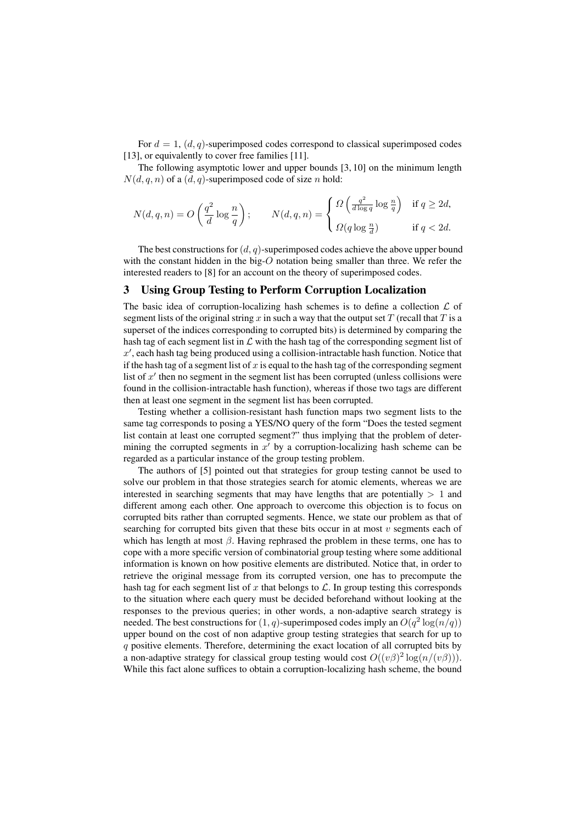For  $d = 1$ ,  $(d, q)$ -superimposed codes correspond to classical superimposed codes [13], or equivalently to cover free families [11].

The following asymptotic lower and upper bounds [3, 10] on the minimum length  $N(d, q, n)$  of a  $(d, q)$ -superimposed code of size n hold:

$$
N(d,q,n) = O\left(\frac{q^2}{d}\log\frac{n}{q}\right); \qquad N(d,q,n) = \begin{cases} \Omega\left(\frac{q^2}{d\log q}\log\frac{n}{q}\right) & \text{if } q \geq 2d, \\ \Omega(q\log\frac{n}{d}) & \text{if } q < 2d. \end{cases}
$$

The best constructions for  $(d, q)$ -superimposed codes achieve the above upper bound with the constant hidden in the big-O notation being smaller than three. We refer the interested readers to [8] for an account on the theory of superimposed codes.

#### 3 Using Group Testing to Perform Corruption Localization

The basic idea of corruption-localizing hash schemes is to define a collection  $\mathcal L$  of segment lists of the original string x in such a way that the output set T (recall that T is a superset of the indices corresponding to corrupted bits) is determined by comparing the hash tag of each segment list in  $\mathcal L$  with the hash tag of the corresponding segment list of  $x'$ , each hash tag being produced using a collision-intractable hash function. Notice that if the hash tag of a segment list of x is equal to the hash tag of the corresponding segment list of  $x'$  then no segment in the segment list has been corrupted (unless collisions were found in the collision-intractable hash function), whereas if those two tags are different then at least one segment in the segment list has been corrupted.

Testing whether a collision-resistant hash function maps two segment lists to the same tag corresponds to posing a YES/NO query of the form "Does the tested segment list contain at least one corrupted segment?" thus implying that the problem of determining the corrupted segments in  $x'$  by a corruption-localizing hash scheme can be regarded as a particular instance of the group testing problem.

The authors of [5] pointed out that strategies for group testing cannot be used to solve our problem in that those strategies search for atomic elements, whereas we are interested in searching segments that may have lengths that are potentially  $> 1$  and different among each other. One approach to overcome this objection is to focus on corrupted bits rather than corrupted segments. Hence, we state our problem as that of searching for corrupted bits given that these bits occur in at most  $v$  segments each of which has length at most  $\beta$ . Having rephrased the problem in these terms, one has to cope with a more specific version of combinatorial group testing where some additional information is known on how positive elements are distributed. Notice that, in order to retrieve the original message from its corrupted version, one has to precompute the hash tag for each segment list of x that belongs to  $\mathcal{L}$ . In group testing this corresponds to the situation where each query must be decided beforehand without looking at the responses to the previous queries; in other words, a non-adaptive search strategy is needed. The best constructions for  $(1, q)$ -superimposed codes imply an  $O(q^2 \log(n/q))$ upper bound on the cost of non adaptive group testing strategies that search for up to q positive elements. Therefore, determining the exact location of all corrupted bits by a non-adaptive strategy for classical group testing would cost  $O((v\beta)^2 \log(n/(v\beta)))$ . While this fact alone suffices to obtain a corruption-localizing hash scheme, the bound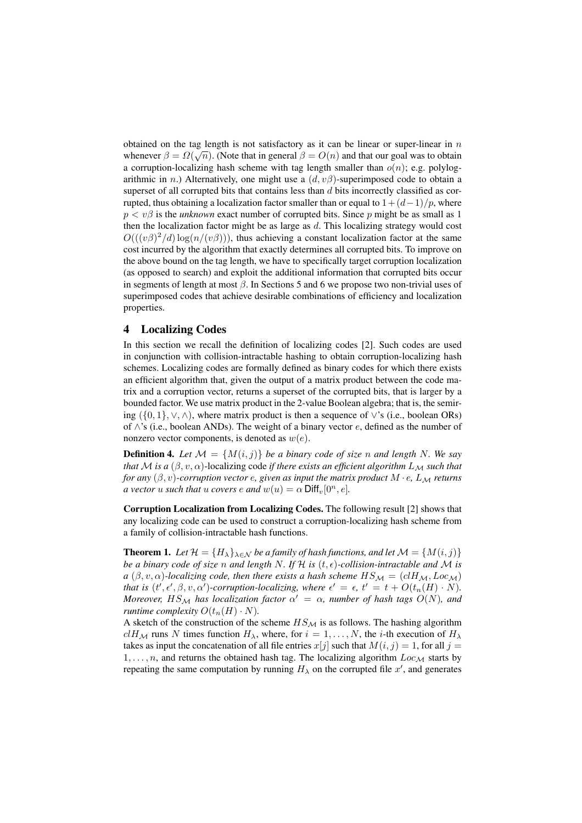obtained on the tag length is not satisfactory as it can be linear or super-linear in  $n$ whenever  $\beta = \Omega(\sqrt{n})$ . (Note that in general  $\beta = O(n)$  and that our goal was to obtain a corruption-localizing hash scheme with tag length smaller than  $o(n)$ ; e.g. polylogarithmic in n.) Alternatively, one might use a  $(d, v\beta)$ -superimposed code to obtain a superset of all corrupted bits that contains less than  $d$  bits incorrectly classified as corrupted, thus obtaining a localization factor smaller than or equal to  $1+(d-1)/p$ , where  $p < v\beta$  is the *unknown* exact number of corrupted bits. Since p might be as small as 1 then the localization factor might be as large as  $d$ . This localizing strategy would cost  $O(((v\beta)^2/d) \log(n/(v\beta)))$ , thus achieving a constant localization factor at the same cost incurred by the algorithm that exactly determines all corrupted bits. To improve on the above bound on the tag length, we have to specifically target corruption localization (as opposed to search) and exploit the additional information that corrupted bits occur in segments of length at most  $\beta$ . In Sections 5 and 6 we propose two non-trivial uses of superimposed codes that achieve desirable combinations of efficiency and localization properties.

# 4 Localizing Codes

In this section we recall the definition of localizing codes [2]. Such codes are used in conjunction with collision-intractable hashing to obtain corruption-localizing hash schemes. Localizing codes are formally defined as binary codes for which there exists an efficient algorithm that, given the output of a matrix product between the code matrix and a corruption vector, returns a superset of the corrupted bits, that is larger by a bounded factor. We use matrix product in the 2-value Boolean algebra; that is, the semiring  $({0, 1}, \vee, \wedge)$ , where matrix product is then a sequence of  $\vee$ 's (i.e., boolean ORs) of  $\wedge$ 's (i.e., boolean ANDs). The weight of a binary vector e, defined as the number of nonzero vector components, is denoted as  $w(e)$ .

**Definition 4.** Let  $M = \{M(i, j)\}$  be a binary code of size n and length N. We say *that* M *is a*  $(\beta, v, \alpha)$ -localizing code *if there exists an efficient algorithm*  $L_M$  *such that for any*  $(\beta, v)$ -corruption vector  $e$ , given as input the matrix product  $M \cdot e$ ,  $L_M$  *returns a vector* u *such that* u *covers*  $e$  *and*  $w(u) = \alpha$  Diff<sub>v</sub>[0<sup>n</sup>, e].

Corruption Localization from Localizing Codes. The following result [2] shows that any localizing code can be used to construct a corruption-localizing hash scheme from a family of collision-intractable hash functions.

**Theorem 1.** *Let*  $\mathcal{H} = \{H_{\lambda}\}_{\lambda \in \mathcal{N}}$  *be a family of hash functions, and let*  $\mathcal{M} = \{M(i, j)\}$ *be a binary code of size n and length N. If*  $H$  *is*  $(t, \epsilon)$ *-collision-intractable and M is a*  $(\beta, v, \alpha)$ -localizing code, then there exists a hash scheme  $HS_{\mathcal{M}} = (clH_{\mathcal{M}}, Loc_{\mathcal{M}})$ *that is*  $(t', \epsilon', \beta, v, \alpha')$ -corruption-localizing, where  $\epsilon' = \epsilon$ ,  $t' = t + O(t_n(H) \cdot N)$ . *Moreover,*  $HS_{\mathcal{M}}$  *has localization factor*  $\alpha' = \alpha$ *, number of hash tags*  $O(N)$ *, and runtime complexity*  $O(t_n(H) \cdot N)$ .

A sketch of the construction of the scheme  $HS_{\mathcal{M}}$  is as follows. The hashing algorithm  $clH_{\mathcal{M}}$  runs N times function  $H_{\lambda}$ , where, for  $i = 1, \ldots, N$ , the *i*-th execution of  $H_{\lambda}$ takes as input the concatenation of all file entries  $x[j]$  such that  $M(i, j) = 1$ , for all  $j =$  $1, \ldots, n$ , and returns the obtained hash tag. The localizing algorithm  $Loc_{\mathcal{M}}$  starts by repeating the same computation by running  $H_{\lambda}$  on the corrupted file  $x'$ , and generates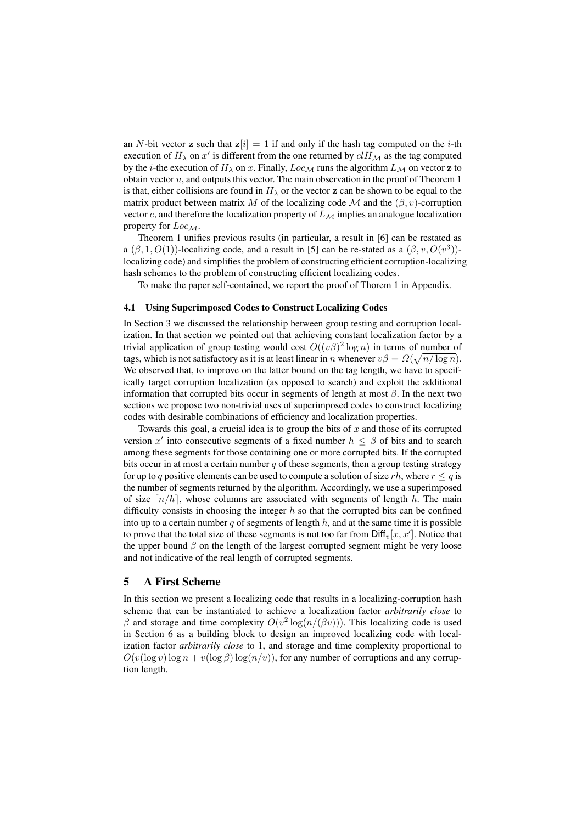an N-bit vector **z** such that  $z[i]=1$  if and only if the hash tag computed on the *i*-th execution of  $H_{\lambda}$  on x' is different from the one returned by  $clH_{\mathcal{M}}$  as the tag computed by the *i*-the execution of  $H_{\lambda}$  on x. Finally,  $Loc_{\mathcal{M}}$  runs the algorithm  $L_{\mathcal{M}}$  on vector z to obtain vector  $u$ , and outputs this vector. The main observation in the proof of Theorem 1 is that, either collisions are found in  $H_{\lambda}$  or the vector z can be shown to be equal to the matrix product between matrix M of the localizing code M and the  $(\beta, v)$ -corruption vector  $e$ , and therefore the localization property of  $L_M$  implies an analogue localization property for  $Loc_{\mathcal{M}}$ .

Theorem 1 unifies previous results (in particular, a result in [6] can be restated as a  $(\beta, 1, O(1))$ -localizing code, and a result in [5] can be re-stated as a  $(\beta, v, O(v^3))$ localizing code) and simplifies the problem of constructing efficient corruption-localizing hash schemes to the problem of constructing efficient localizing codes.

To make the paper self-contained, we report the proof of Thorem 1 in Appendix.

#### 4.1 Using Superimposed Codes to Construct Localizing Codes

In Section 3 we discussed the relationship between group testing and corruption localization. In that section we pointed out that achieving constant localization factor by a trivial application of group testing would cost  $O((v\beta)^2 \log n)$  in terms of number of tags, which is not satisfactory as it is at least linear in n whenever  $v\beta = \Omega(\sqrt{n/\log n})$ . We observed that, to improve on the latter bound on the tag length, we have to specifically target corruption localization (as opposed to search) and exploit the additional information that corrupted bits occur in segments of length at most  $\beta$ . In the next two sections we propose two non-trivial uses of superimposed codes to construct localizing codes with desirable combinations of efficiency and localization properties.

Towards this goal, a crucial idea is to group the bits of  $x$  and those of its corrupted version x' into consecutive segments of a fixed number  $h \leq \beta$  of bits and to search among these segments for those containing one or more corrupted bits. If the corrupted bits occur in at most a certain number  $q$  of these segments, then a group testing strategy for up to q positive elements can be used to compute a solution of size rh, where  $r \leq q$  is the number of segments returned by the algorithm. Accordingly, we use a superimposed of size  $\lceil n/h \rceil$ , whose columns are associated with segments of length h. The main difficulty consists in choosing the integer  $h$  so that the corrupted bits can be confined into up to a certain number q of segments of length  $h$ , and at the same time it is possible to prove that the total size of these segments is not too far from  $\text{Diff}_v[x,x']$ . Notice that the upper bound  $\beta$  on the length of the largest corrupted segment might be very loose and not indicative of the real length of corrupted segments.

# 5 A First Scheme

In this section we present a localizing code that results in a localizing-corruption hash scheme that can be instantiated to achieve a localization factor *arbitrarily close* to β and storage and time complexity  $O(v^2 \log(n/(\beta v)))$ . This localizing code is used in Section 6 as a building block to design an improved localizing code with localization factor *arbitrarily close* to 1, and storage and time complexity proportional to  $O(v(\log v) \log n + v(\log \beta) \log(n/v))$ , for any number of corruptions and any corruption length.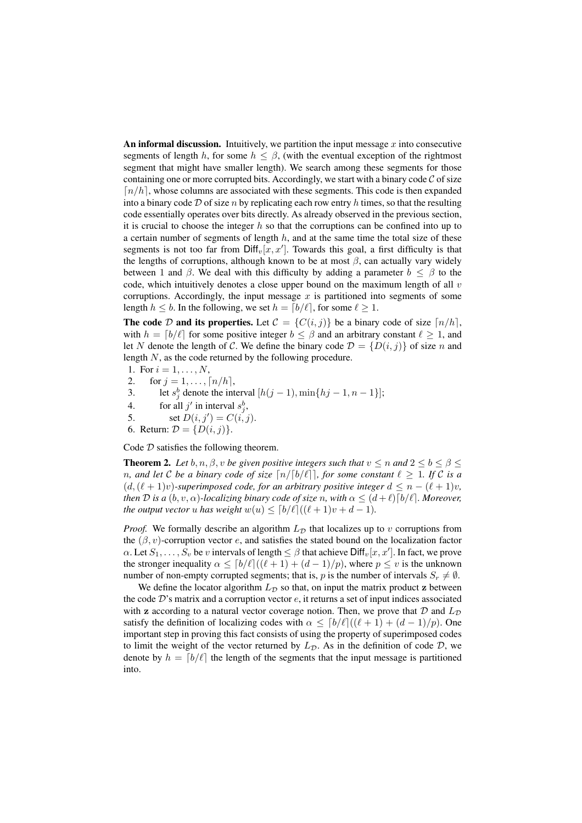An informal discussion. Intuitively, we partition the input message  $x$  into consecutive segments of length h, for some  $h \leq \beta$ , (with the eventual exception of the rightmost segment that might have smaller length). We search among these segments for those containing one or more corrupted bits. Accordingly, we start with a binary code  $C$  of size  $\lceil n/h \rceil$ , whose columns are associated with these segments. This code is then expanded into a binary code  $D$  of size n by replicating each row entry h times, so that the resulting code essentially operates over bits directly. As already observed in the previous section, it is crucial to choose the integer  $h$  so that the corruptions can be confined into up to a certain number of segments of length  $h$ , and at the same time the total size of these segments is not too far from  $\text{Diff}_{v}[x, x']$ . Towards this goal, a first difficulty is that the lengths of corruptions, although known to be at most  $\beta$ , can actually vary widely between 1 and  $\beta$ . We deal with this difficulty by adding a parameter  $b \leq \beta$  to the code, which intuitively denotes a close upper bound on the maximum length of all  $v$ corruptions. Accordingly, the input message  $x$  is partitioned into segments of some length  $h \leq b$ . In the following, we set  $h = \lfloor b/\ell \rfloor$ , for some  $\ell \geq 1$ .

The code D and its properties. Let  $C = \{C(i, j)\}\$ be a binary code of size  $\lceil n/h \rceil$ , with  $h = \lfloor b/\ell \rfloor$  for some positive integer  $b \le \beta$  and an arbitrary constant  $\ell \ge 1$ , and let N denote the length of C. We define the binary code  $\mathcal{D} = \{D(i, j)\}\$  of size n and length N, as the code returned by the following procedure.

- 1. For  $i = 1, ..., N$ ,
- 2. for  $j = 1, ..., [n/h]$ ,<br>3. let  $s_i^b$  denote the int
- 3. let  $s_j^b$  denote the interval  $[h(j-1), \min\{hj-1, n-1\}];$
- 4. for all  $j'$  in interval  $s_j^b$ ,
- 5. set  $D(i, j') = C(i, j)$ .
- 6. Return:  $\mathcal{D} = \{D(i, j)\}.$

Code  $D$  satisfies the following theorem.

**Theorem 2.** Let b, n,  $\beta$ , v be given positive integers such that  $v \le n$  and  $2 \le b \le \beta \le \beta$ *n*, and let C be a binary code of size  $\lceil n/\lceil b/\ell \rceil \rceil$ , for some constant  $\ell \geq 1$ . If C is a  $(d, (\ell + 1)v)$ *-superimposed code, for an arbitrary positive integer*  $d \leq n - (\ell + 1)v$ *, then D is a*  $(b, v, \alpha)$ *-localizing binary code of size n, with*  $\alpha \leq (d + \ell) \lceil b/\ell \rceil$ *. Moreover, the output vector* u *has weight*  $w(u) \leq [b/\ell]((\ell+1)v + d - 1)$ *.* 

*Proof.* We formally describe an algorithm  $L<sub>D</sub>$  that localizes up to v corruptions from the  $(\beta, v)$ -corruption vector e, and satisfies the stated bound on the localization factor  $\alpha$ . Let  $S_1, \ldots, S_v$  be v intervals of length  $\leq \beta$  that achieve  $\text{Diff}_v[x, x']$ . In fact, we prove the stronger inequality  $\alpha \leq [b/\ell]((\ell+1) + (d-1)/p)$ , where  $p \leq v$  is the unknown number of non-empty corrupted segments; that is, p is the number of intervals  $S_r \neq \emptyset$ .

We define the locator algorithm  $L_{\mathcal{D}}$  so that, on input the matrix product z between the code  $D$ 's matrix and a corruption vector  $e$ , it returns a set of input indices associated with z according to a natural vector coverage notion. Then, we prove that  $D$  and  $L_D$ satisfy the definition of localizing codes with  $\alpha \leq \frac{b}{\ell} \frac{(\ell + 1) + (d - 1)}{p}$ . One important step in proving this fact consists of using the property of superimposed codes to limit the weight of the vector returned by  $L_{\mathcal{D}}$ . As in the definition of code  $\mathcal{D}$ , we denote by  $h = \lfloor b/\ell \rfloor$  the length of the segments that the input message is partitioned into.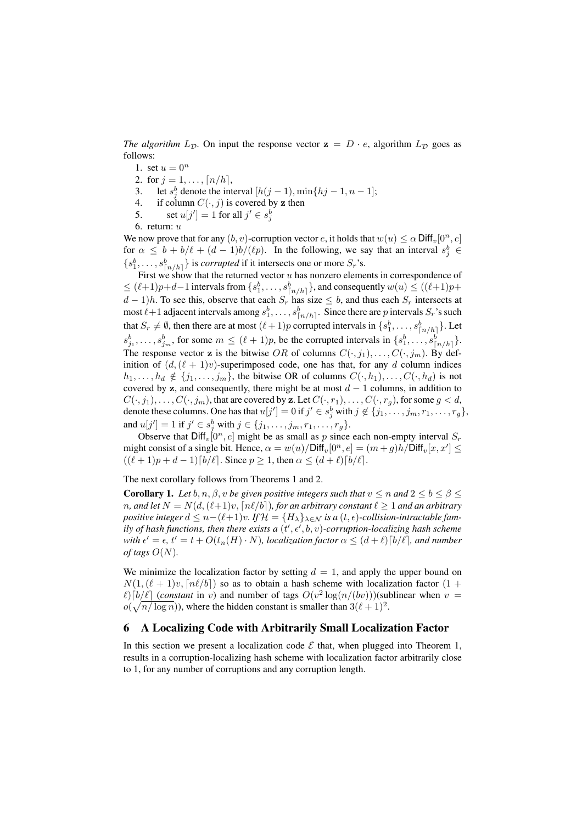*The algorithm*  $L_{\mathcal{D}}$ . On input the response vector  $z = D \cdot e$ , algorithm  $L_{\mathcal{D}}$  goes as follows:

- 1. set  $u = 0^n$
- 2. for  $j = 1, ..., [n/h]$ ,<br>3. let  $s_i^b$  denote the int
- 3. let  $s_j^b$  denote the interval  $[h(j-1), \min\{hj-1, n-1\}]$ ;
- 4. if column  $C(\cdot, j)$  is covered by z then<br>5. set  $u[j'] = 1$  for all  $j' \in s^b$ .
- 5. set  $u[j'] = 1$  for all  $j' \in s_j^b$

6. return:  $u$ 

We now prove that for any  $(b, v)$ -corruption vector  $e$ , it holds that  $w(u) \leq \alpha$  Diff<sub>v</sub> $[0^n, e]$ for  $\alpha \leq b + b/\ell + (d - 1)b/(\ell p)$ . In the following, we say that an interval  $s_j^b \in$  $\{s_1^b, \ldots, s_{\lceil n/h \rceil}^b\}$  is *corrupted* if it intersects one or more  $S_r$ 's.

First we show that the returned vector  $u$  has nonzero elements in correspondence of  $\leq (\ell+1)p+d-1$  intervals from  $\{s_1^b, \ldots, s_{\lceil n/h \rceil}^b\}$ , and consequently  $w(u) \leq ((\ell+1)p+1$  $d-1$ )h. To see this, observe that each  $S_r$  has size  $\leq b$ , and thus each  $S_r$  intersects at most  $\ell+1$  adjacent intervals among  $s_1^b, \ldots, s_{\lceil n/h \rceil}^b$ . Since there are p intervals  $S_r$ 's such that  $S_r \neq \emptyset$ , then there are at most  $(\ell + 1)p$  corrupted intervals in  $\{s_1^b, \ldots, s_{\lceil n/h \rceil}^b\}$ . Let  $s_{j_1}^b, \ldots, s_{j_m}^b$ , for some  $m \leq (\ell+1)p$ , be the corrupted intervals in  $\{s_1^b, \ldots, s_{\lfloor n/h \rfloor}^b\}$ . The response vector z is the bitwise OR of columns  $C(\cdot, j_1), \ldots, C(\cdot, j_m)$ . By definition of  $(d,(\ell + 1)v)$ -superimposed code, one has that, for any d column indices  $h_1,\ldots,h_d \notin \{j_1,\ldots,j_m\}$ , the bitwise OR of columns  $C(\cdot,h_1),\ldots,C(\cdot,h_d)$  is not covered by z, and consequently, there might be at most  $d - 1$  columns, in addition to  $C(\cdot, j_1), \ldots, C(\cdot, j_m)$ , that are covered by **z**. Let  $C(\cdot, r_1), \ldots, C(\cdot, r_g)$ , for some  $g < d$ , denote these columns. One has that  $u[j'] = 0$  if  $j' \in s_j^b$  with  $j \notin \{j_1, \ldots, j_m, r_1, \ldots, r_g\}$ , and  $u[j'] = 1$  if  $j' \in s_j^b$  with  $j \in \{j_1, ..., j_m, r_1, ..., r_g\}$ .

Observe that  $\text{Diff}_v[0^n, e]$  might be as small as p since each non-empty interval  $S_r$ might consist of a single bit. Hence,  $\alpha = w(u)/\text{Diff}_v[0^n, e] = (m + g)h/\text{Diff}_v[x, x'] \le$  $((\ell + 1)p + d - 1) [b/\ell]$ . Since  $p \ge 1$ , then  $\alpha \le (d + \ell) [b/\ell]$ .

The next corollary follows from Theorems 1 and 2.

**Corollary 1.** Let  $b, n, \beta, v$  be given positive integers such that  $v \leq n$  and  $2 \leq b \leq \beta \leq v$ *n*, and let  $N = N(d, (\ell+1)v, \lceil n\ell/b \rceil)$ , for an arbitrary constant  $\ell \geq 1$  and an arbitrary *positive integer*  $d \leq n - (\ell + 1)v$ . If  $\mathcal{H} = \{H_{\lambda}\}_{\lambda \in \mathcal{N}}$  *is a*  $(t, \epsilon)$ *-collision-intractable fam*ily of hash functions, then there exists a  $(t', \epsilon', b, v)$ -corruption-localizing hash scheme with  $\epsilon' = \epsilon$ ,  $t' = t + O(t_n(H) \cdot N)$ , localization factor  $\alpha \leq (d+\ell) \lceil b/\ell \rceil$ , and number *of tags*  $O(N)$ *.* 

We minimize the localization factor by setting  $d = 1$ , and apply the upper bound on  $N(1, (\ell + 1)v, \lceil n\ell/b \rceil)$  so as to obtain a hash scheme with localization factor  $(1 +$  $\ell$ ).[b/ $\ell$ ] (*constant* in v) and number of tags  $O(v^2 \log(n/(bv)))$ (sublinear when  $v =$  $o(\sqrt{n/\log n})$ , where the hidden constant is smaller than  $3(\ell+1)^2$ .

# 6 A Localizing Code with Arbitrarily Small Localization Factor

In this section we present a localization code  $\mathcal E$  that, when plugged into Theorem 1, results in a corruption-localizing hash scheme with localization factor arbitrarily close to 1, for any number of corruptions and any corruption length.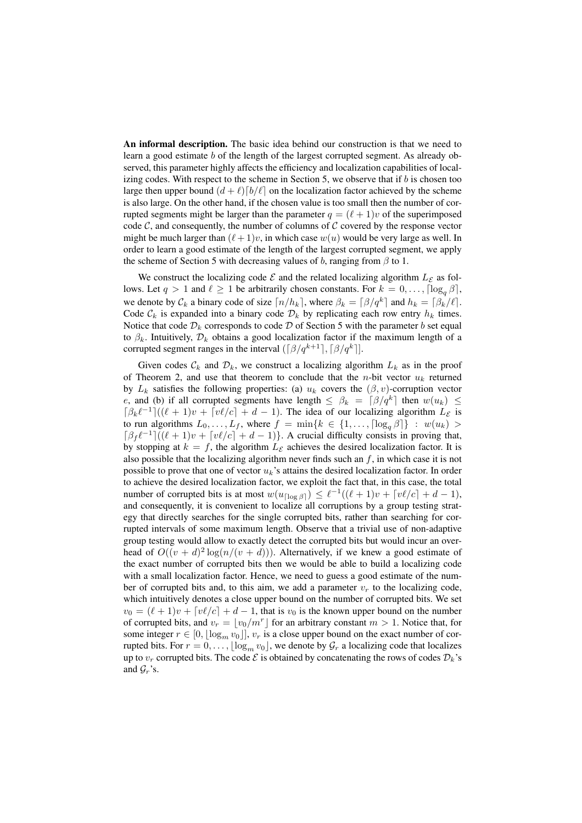An informal description. The basic idea behind our construction is that we need to learn a good estimate b of the length of the largest corrupted segment. As already observed, this parameter highly affects the efficiency and localization capabilities of localizing codes. With respect to the scheme in Section 5, we observe that if  $b$  is chosen too large then upper bound  $(d + \ell) [b/\ell]$  on the localization factor achieved by the scheme is also large. On the other hand, if the chosen value is too small then the number of corrupted segments might be larger than the parameter  $q = (\ell + 1)v$  of the superimposed code  $\mathcal{C}$ , and consequently, the number of columns of  $\mathcal{C}$  covered by the response vector might be much larger than  $(\ell + 1)v$ , in which case  $w(u)$  would be very large as well. In order to learn a good estimate of the length of the largest corrupted segment, we apply the scheme of Section 5 with decreasing values of b, ranging from  $\beta$  to 1.

We construct the localizing code  $\mathcal E$  and the related localizing algorithm  $L_{\mathcal E}$  as follows. Let  $q > 1$  and  $\ell \geq 1$  be arbitrarily chosen constants. For  $k = 0, \ldots, \lceil \log_{a} \beta \rceil$ , we denote by  $\mathcal{C}_k$  a binary code of size  $\lceil n/h_k \rceil$ , where  $\beta_k = \lceil \beta/q^k \rceil$  and  $h_k = \lceil \beta_k/\ell \rceil$ . Code  $\mathcal{C}_k$  is expanded into a binary code  $\mathcal{D}_k$  by replicating each row entry  $h_k$  times. Notice that code  $\mathcal{D}_k$  corresponds to code  $\mathcal D$  of Section 5 with the parameter b set equal to  $\beta_k$ . Intuitively,  $\mathcal{D}_k$  obtains a good localization factor if the maximum length of a corrupted segment ranges in the interval  $(\lceil \beta / q^{k+1} \rceil, \lceil \beta / q^k \rceil)$ .

Given codes  $\mathcal{C}_k$  and  $\mathcal{D}_k$ , we construct a localizing algorithm  $L_k$  as in the proof of Theorem 2, and use that theorem to conclude that the *n*-bit vector  $u_k$  returned by  $L_k$  satisfies the following properties: (a)  $u_k$  covers the  $(\beta, v)$ -corruption vector e, and (b) if all corrupted segments have length  $\leq \beta_k = \lceil \beta / q^k \rceil$  then  $w(u_k) \leq$  $\left[\beta_k\ell^{-1}\right]((\ell+1)v + \left[v\ell/c\right] + d - 1)$ . The idea of our localizing algorithm  $L_{\mathcal{E}}$  is to run algorithms  $L_0, \ldots, L_f$ , where  $f = \min\{k \in \{1, \ldots, \lceil \log_a \beta \rceil\} : w(u_k) >$  $\left[\beta_f \ell^{-1}\right]((\ell+1)v + \left[v\ell/c\right] + d - 1)$ . A crucial difficulty consists in proving that, by stopping at  $k = f$ , the algorithm  $L_{\mathcal{E}}$  achieves the desired localization factor. It is also possible that the localizing algorithm never finds such an  $f$ , in which case it is not possible to prove that one of vector  $u_k$ 's attains the desired localization factor. In order to achieve the desired localization factor, we exploit the fact that, in this case, the total number of corrupted bits is at most  $w(u_{\lceil \log \beta \rceil}) \leq \ell^{-1}((\ell+1)v + \lceil v\ell/c \rceil + d - 1)$ , and consequently, it is convenient to localize all corruptions by a group testing strategy that directly searches for the single corrupted bits, rather than searching for corrupted intervals of some maximum length. Observe that a trivial use of non-adaptive group testing would allow to exactly detect the corrupted bits but would incur an overhead of  $O((v + d)^2 \log(n/(v + d)))$ . Alternatively, if we knew a good estimate of the exact number of corrupted bits then we would be able to build a localizing code with a small localization factor. Hence, we need to guess a good estimate of the number of corrupted bits and, to this aim, we add a parameter  $v_r$  to the localizing code, which intuitively denotes a close upper bound on the number of corrupted bits. We set  $v_0 = (\ell + 1)v + [v\ell/c] + d - 1$ , that is  $v_0$  is the known upper bound on the number of corrupted bits, and  $v_r = \lfloor v_0/m^r \rfloor$  for an arbitrary constant  $m > 1$ . Notice that, for some integer  $r \in [0, \lfloor \log_m v_0 \rfloor], v_r$  is a close upper bound on the exact number of corrupted bits. For  $r = 0, \ldots, \lfloor \log_m v_0 \rfloor$ , we denote by  $\mathcal{G}_r$  a localizing code that localizes up to  $v_r$  corrupted bits. The code  $\mathcal E$  is obtained by concatenating the rows of codes  $\mathcal D_k$ 's and  $\mathcal{G}_r$ 's.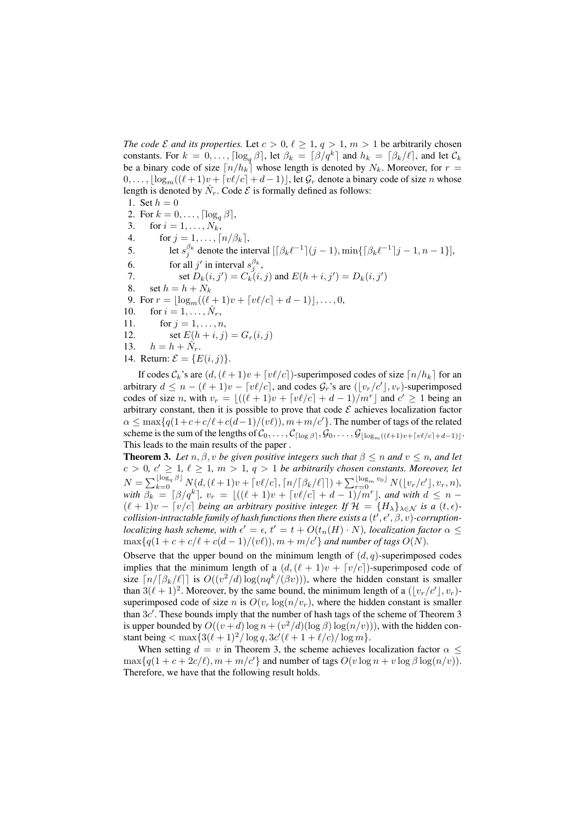*The code*  $\mathcal E$  *and its properties.* Let  $c > 0$ ,  $\ell \geq 1$ ,  $q > 1$ ,  $m > 1$  be arbitrarily chosen constants. For  $k = 0, \ldots, \lceil \log_q \beta \rceil$ , let  $\beta_k = \lceil \beta / q^k \rceil$  and  $h_k = \lceil \beta_k / \ell \rceil$ , and let  $\mathcal{C}_k$ be a binary code of size  $\lceil n/h_k \rceil$  whose length is denoted by  $N_k$ . Moreover, for  $r =$  $0, \ldots, \lfloor \log_m((\ell+1)v + \lceil v\ell/c \rceil + d - 1) \rfloor$ , let  $\mathcal{G}_r$  denote a binary code of size n whose length is denoted by  $\hat{N}_r$ . Code  $\mathcal E$  is formally defined as follows:

1. Set  $h = 0$ 2. For  $k = 0, ..., \lceil \log_q \beta \rceil$ ,<br>3. for  $i = 1, ..., N_k$ , for  $i = 1, \ldots, N_k$ , 4. for  $j = 1, ..., \lceil n/\beta_k \rceil$ ,<br>5. let  $s_i^{\beta_k}$  denote the int 5. let  $s_j^{\beta_k}$  denote the interval  $\left[\beta_k \ell^{-1}\right](j-1), \min\{\left[\beta_k \ell^{-1}\right](j-1, n-1)\}\right]$ , 6. for all  $j'$  in interval  $s_j^{\beta_k}$ , 7. set  $D_k(i, j') = C_k(i, j)$  and  $E(h + i, j') = D_k(i, j')$ 8. set  $h = h + N_k$ 9. For  $r = \lfloor \log_m((\ell + 1)v + \lceil v\ell/c \rceil + d - 1) \rfloor, ..., 0,$ <br>10. for  $i = 1, ..., \hat{N}_r$ , for  $i = 1, \ldots, \hat{N}_r$ , 11. for  $j = 1, ..., n$ , 12. set  $E(h + i, j) = G_r(i, j)$ <br>13.  $h = h + \hat{N}_r$ .  $h = h + \hat{N}_r.$ 14. Return:  $\mathcal{E} = \{E(i, j)\}.$ 

If codes  $\mathcal{C}_k$ 's are  $(d, (\ell + 1)v + \lceil v\ell/c \rceil)$ -superimposed codes of size  $\lceil n/h_k \rceil$  for an arbitrary  $d \leq n - (\ell + 1)v - [v\ell/c]$ , and codes  $\mathcal{G}_r$ 's are  $([v_r/c'], v_r)$ -superimposed codes of size n, with  $v_r = \lfloor ((\ell + 1)v + \lceil v\ell/c \rceil + d - 1)/m^r \rfloor$  and  $c' \ge 1$  being an arbitrary constant, then it is possible to prove that code  $\mathcal E$  achieves localization factor  $\alpha \leq \max\{q(1+c+c/\ell+c(d-1)/(v\ell)), m+m/c'\}$ . The number of tags of the related scheme is the sum of the lengths of  $C_0, \ldots, C_{\lceil \log \beta \rceil}, \mathcal{G}_0, \ldots, \mathcal{G}_{\lceil \log_m((\ell+1)v + \lceil v\ell/c \rceil + d-1)\rceil}.$ This leads to the main results of the paper .

**Theorem 3.** Let  $n, \beta, v$  be given positive integers such that  $\beta \leq n$  and  $v \leq n$ , and let  $c > 0, c' \geq 1, \ell \geq 1, m > 1, q > 1$  *be arbitrarily chosen constants. Moreover, let*  $N = \sum_{k=0}^{\lfloor \log_q \beta \rfloor} N(d, (\ell+1)v + \lceil v\ell/c \rceil, \lceil n/\lceil \beta_k/\ell \rceil \rceil) + \sum_{r=0}^{\lfloor \log_m v_0 \rfloor} N(\lfloor v_r/c' \rfloor, v_r, n),$ *with*  $\beta_k = \left[\beta/q^k\right]$ ,  $v_r = \left[\left((\ell+1)v + \left[\frac{v\ell}{c}\right] + d - 1\right)/m^r\right]$ , and with  $d \leq n - 1$  $(\ell + 1)v - [v/c]$  *being an arbitrary positive integer. If*  $\mathcal{H} = \{H_{\lambda}\}_{\lambda \in \mathcal{N}}$  *is a*  $(t, \epsilon)$  $collision$  -intractable family of hash functions then there exists a  $(t',\epsilon',\beta,v)$  -corruption*localizing hash scheme, with*  $\epsilon' = \epsilon$ ,  $t' = t + O(t_n(H) \cdot N)$ *, localization factor*  $\alpha \leq$  $\max\{q(1+c+c/\ell+c(d-1)/(v\ell)), m+m/c'\}$  and number of tags  $O(N)$ .

Observe that the upper bound on the minimum length of  $(d, q)$ -superimposed codes implies that the minimum length of a  $(d,(\ell + 1)v + [v/c])$ -superimposed code of size  $\lceil n/\lceil \beta_k/\ell \rceil \rceil$  is  $O((v^2/d) \log(nq^k/(\beta v)))$ , where the hidden constant is smaller than  $3(\ell + 1)^2$ . Moreover, by the same bound, the minimum length of a  $(\lfloor v_r/c' \rfloor, v_r)$ superimposed code of size n is  $O(v_r \log(n/v_r))$ , where the hidden constant is smaller than  $3c'$ . These bounds imply that the number of hash tags of the scheme of Theorem 3 is upper bounded by  $O((v+d)\log n + (v^2/d)(\log \beta) \log(n/v))$ , with the hidden constant being  $<$  max $\{3(\ell+1)^2/\log q, 3c'(\ell+1+\ell/c)/\log m\}.$ 

When setting  $d = v$  in Theorem 3, the scheme achieves localization factor  $\alpha$  <  $\max\{q(1+c+2c/\ell), m+m/c'\}$  and number of tags  $O(v \log n + v \log \beta \log(n/v))$ . Therefore, we have that the following result holds.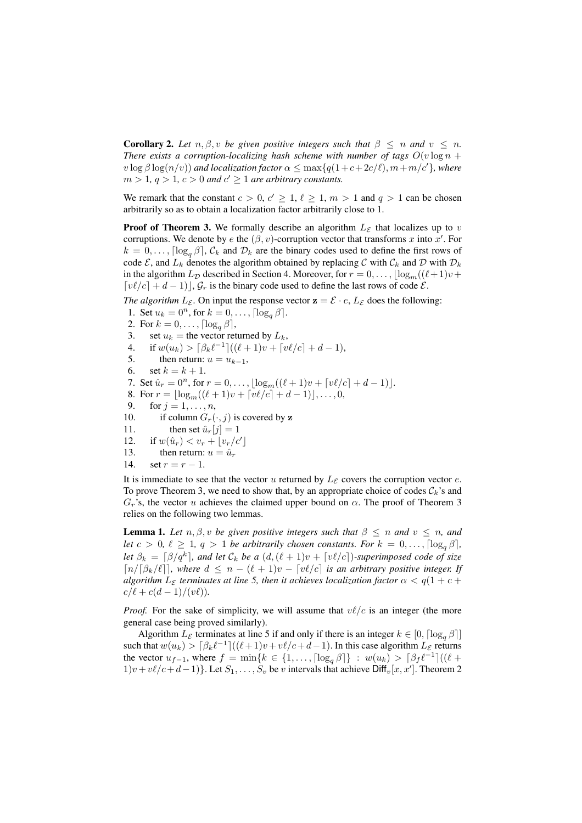**Corollary 2.** Let  $n, \beta, v$  be given positive integers such that  $\beta \leq n$  and  $v \leq n$ . *There exists a corruption-localizing hash scheme with number of tags*  $O(v \log n +$  $v \log \beta \log(n/v)$  *and localization factor*  $\alpha \leq \max\{q(1+c+2c/\ell), m+m/c'\}$ *, where*  $m > 1, q > 1, c > 0$  and  $c' \geq 1$  are arbitrary constants.

We remark that the constant  $c > 0$ ,  $c' \ge 1$ ,  $\ell \ge 1$ ,  $m > 1$  and  $q > 1$  can be chosen arbitrarily so as to obtain a localization factor arbitrarily close to 1.

**Proof of Theorem 3.** We formally describe an algorithm  $L_{\mathcal{E}}$  that localizes up to v corruptions. We denote by e the  $(\beta, v)$ -corruption vector that transforms x into x'. For  $k = 0, \ldots, \lceil \log_a \beta \rceil$ ,  $\mathcal{C}_k$  and  $\mathcal{D}_k$  are the binary codes used to define the first rows of code  $\mathcal{E}$ , and  $L_k$  denotes the algorithm obtained by replacing C with  $\mathcal{C}_k$  and D with  $\mathcal{D}_k$ in the algorithm  $L_{\mathcal{D}}$  described in Section 4. Moreover, for  $r = 0, \ldots, \lfloor \log_m((\ell+1)v + \ell) \rfloor$  $\lceil v\ell/c \rceil + d - 1 \rceil, \mathcal{G}_r$  is the binary code used to define the last rows of code  $\mathcal{E}.$ 

*The algorithm*  $L_{\mathcal{E}}$ . On input the response vector  $z = \mathcal{E} \cdot e$ ,  $L_{\mathcal{E}}$  does the following:

1. Set  $u_k = 0^n$ , for  $k = 0, \ldots, \lceil \log_q \beta \rceil$ . 2. For  $k = 0, ..., \lceil \log_q \beta \rceil$ ,<br>3. set  $u_k$  = the vector ret set  $u_k$  = the vector returned by  $L_k$ , 4. if  $w(u_k) > [\beta_k \ell^{-1}]((\ell+1)v + \lceil v\ell/c \rceil + d - 1),$ <br>5. then return:  $u = u_{k-1}$ , 5. then return:  $u = u_{k-1}$ ,<br>6. set  $k = k+1$ . set  $k = k + 1$ . 7. Set  $\hat{u}_r = 0^n$ , for  $r = 0, \ldots, \lfloor \log_m((\ell+1)v + \lceil v\ell/c \rceil + d - 1) \rfloor$ . 8. For  $r = \lfloor \log_m((\ell + 1)v + \lceil v\ell/c \rceil + d - 1) \rfloor, \ldots, 0,$ <br>9. for  $i = 1, \ldots, n$ . for  $j = 1, \ldots, n$ , 10. if column  $G_r(\cdot, j)$  is covered by z<br>11. then set  $\hat{u}_r[j] = 1$ then set  $\hat{u}_r[j]=1$ 12. if  $w(\hat{u}_r) < v_r + \lfloor v_r/c' \rfloor$ 13. then return:  $u = \hat{u}_r$ <br>14. set  $r = r - 1$ . set  $r = r - 1$ .

It is immediate to see that the vector u returned by  $L_{\mathcal{E}}$  covers the corruption vector e. To prove Theorem 3, we need to show that, by an appropriate choice of codes  $\mathcal{C}_k$ 's and  $G_r$ 's, the vector u achieves the claimed upper bound on  $\alpha$ . The proof of Theorem 3 relies on the following two lemmas.

**Lemma 1.** *Let*  $n, \beta, v$  *be given positive integers such that*  $\beta \leq n$  *and*  $v \leq n$ *, and let*  $c > 0$ ,  $\ell \geq 1$ ,  $q > 1$  *be arbitrarily chosen constants. For*  $k = 0, \ldots, \lceil \log_{a} \beta \rceil$ , *let*  $\beta_k = \left[\beta/q^k\right]$ , and let  $\mathcal{C}_k$  *be a*  $(d, (\ell + 1)v + \left[v\ell/c\right])$ *-superimposed code of size*  $\lceil n/\lceil \beta_k/\ell \rceil \rceil$ , where  $d \leq n - (\ell + 1)v - \lceil v\ell/c \rceil$  *is an arbitrary positive integer. If algorithm*  $L_{\mathcal{E}}$  *terminates at line* 5, *then it achieves localization factor*  $\alpha < q(1 + c +$  $c/\ell + c(d-1)/(v\ell)).$ 

*Proof.* For the sake of simplicity, we will assume that  $v\ell/c$  is an integer (the more general case being proved similarly).

Algorithm  $L_{\mathcal{E}}$  terminates at line 5 if and only if there is an integer  $k \in [0, \lceil \log_{q} \beta \rceil]$ such that  $w(u_k) > \left[\beta_k \ell^{-1}\right]((\ell+1)v + v\ell/c + d-1)$ . In this case algorithm  $L_{\mathcal{E}}$  returns the vector  $u_{f-1}$ , where  $f = \min\{k \in \{1, ..., \lceil \log_q \beta \rceil\} : w(u_k) > \lceil \beta_f \ell^{-1} \rceil ((\ell +$  $1)v + v\ell/c + d - 1$ }. Let  $S_1, \ldots, S_v$  be v intervals that achieve  $\text{Diff}_v[x, x']$ . Theorem 2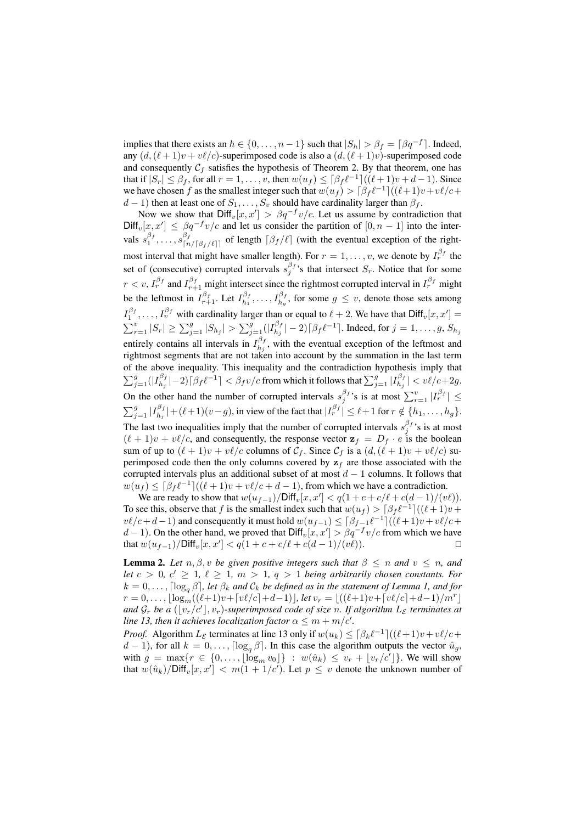implies that there exists an  $h \in \{0, \ldots, n-1\}$  such that  $|S_h| > \beta_f = \lceil \beta q^{-f} \rceil$ . Indeed, any  $(d,(\ell+1)v + v\ell/c)$ -superimposed code is also a  $(d,(\ell+1)v)$ -superimposed code and consequently  $C_f$  satisfies the hypothesis of Theorem 2. By that theorem, one has that if  $|S_r| \leq \beta_f$ , for all  $r = 1, \ldots, v$ , then  $w(u_f) \leq \lceil \beta_f \ell^{-1} \rceil ((\ell + 1)v + d - 1)$ . Since we have chosen f as the smallest integer such that  $w(u_f) > \frac{\beta_f \ell^{-1}}{(\ell+1)v+v\ell/c}$ +  $d-1$ ) then at least one of  $S_1, \ldots, S_v$  should have cardinality larger than  $\beta_f$ .

Now we show that  $Diff_v[x, x'] > \beta q^{-f}v/c$ . Let us assume by contradiction that  $Diff_v[x, x'] \leq \beta q^{-f}v/c$  and let us consider the partition of  $[0, n-1]$  into the intervals  $s_1^{\beta_f}, \ldots, s_{\lceil n/\lceil \beta_f/\ell \rceil}^{\beta_f}$  of length  $\lceil \beta_f/\ell \rceil$  (with the eventual exception of the rightmost interval that might have smaller length). For  $r = 1, \ldots, v$ , we denote by  $I_r^{\beta_f}$  the set of (consecutive) corrupted intervals  $s_j^{\beta_f}$ 's that intersect  $S_r$ . Notice that for some  $r < v$ ,  $I_r^{\beta_f}$  and  $I_{r+1}^{\beta_f}$  might intersect since the rightmost corrupted interval in  $I_r^{\beta_f}$  might be the leftmost in  $I_{r+1}^{\beta_f}$ . Let  $I_{h_1}^{\beta_f}, \ldots, I_{h_g}^{\beta_f}$ , for some  $g \le v$ , denote those sets among  $I_1^{\beta_f}, \ldots, I_v^{\beta_f}$  with cardinality larger than or equal to  $\ell + 2$ . We have that  $\text{Diff}_v[x, x'] =$  $\sum_{r=1}^{v} |S_r| \ge \sum_{j=1}^{g} |S_{h_j}| > \sum_{j=1}^{g} (|I_{h_j}^{\beta_f}|-2) [\beta_f \ell^{-1}]$ . Indeed, for  $j=1,\ldots,g, S_{h_j}$ entirely contains all intervals in  $I_{h_j}^{\beta_f}$ , with the eventual exception of the leftmost and rightmost segments that are not taken into account by the summation in the last term of the above inequality. This inequality and the contradiction hypothesis imply that  $\sum_{j=1}^g (|I_{h_j}^{\beta_f}|-2)\lceil \beta_f \ell^{-1}\rceil < \beta_f v/c$  from which it follows that  $\sum_{j=1}^g |I_{h_j}^{\beta_f}| < v\ell/c+2g$ . On the other hand the number of corrupted intervals  $s_j^{\beta_j}$ 's is at most  $\sum_{r=1}^v |I_r^{\beta_j}| \leq$  $\sum_{j=1}^{g} |I_{h_j}^{\beta_f}| + (\ell+1)(v-g)$ , in view of the fact that  $|I_r^{\beta_f}| \leq \ell+1$  for  $r \notin \{h_1, \ldots, h_g\}$ . The last two inequalities imply that the number of corrupted intervals  $s_j^{\beta_f}$ 's is at most  $(\ell + 1)v + v\ell/c$ , and consequently, the response vector  $\mathbf{z}_f = D_f \cdot e$  is the boolean sum of up to  $(\ell + 1)v + v\ell/c$  columns of  $C_f$ . Since  $C_f$  is a  $(d, (\ell + 1)v + v\ell/c)$  superimposed code then the only columns covered by  $z_f$  are those associated with the corrupted intervals plus an additional subset of at most  $d - 1$  columns. It follows that  $w(u_f) \leq \left[\beta_f \ell^{-1}\right]((\ell+1)v + v\ell/c + d - 1)$ , from which we have a contradiction.

We are ready to show that  $w(u_{f-1})/\text{Diff}_v[x, x'] < q(1 + c + c/\ell + c(d-1)/(v\ell)).$ To see this, observe that f is the smallest index such that  $w(u_f) > \lceil \beta_f \ell^{-1} \rceil ((\ell+1)v +$  $v\ell/c+d-1$ ) and consequently it must hold  $w(u_{f-1}) \leq \lceil \beta_{f-1}\ell^{-1}\rceil((\ell+1)v+v\ell/c+1)$ d − 1). On the other hand, we proved that  $Diff_v[x, x'] > \beta q^{-f} v/c$  from which we have that  $w(u_{f-1})$ /Diff<sub>v</sub>[ $x, x'$ ] <  $q(1 + c + c/\ell + c(d-1)/(v\ell))$ . □

**Lemma 2.** Let  $n, \beta, v$  be given positive integers such that  $\beta \leq n$  and  $v \leq n$ , and *let*  $c > 0$ ,  $c' \geq 1$ ,  $\ell \geq 1$ ,  $m > 1$ ,  $q > 1$  *being arbitrarily chosen constants. For*  $k = 0, \ldots, \lceil \log_a \beta \rceil$ , let  $\beta_k$  and  $\mathcal{C}_k$  be defined as in the statement of Lemma 1, and for  $r = 0, \ldots, \lfloor \log_m((\ell+1)v + \lceil v\ell/c \rceil + d-1) \rfloor$ *, let*  $v_r = \lfloor ((\ell+1)v + \lceil v\ell/c \rceil + d-1)/m^r \rfloor$ and  $\mathcal{G}_r$  be a  $(\lfloor v_r/c' \rfloor, v_r)$ -superimposed code of size n. If algorithm  $L_{\mathcal{E}}$  terminates at *line 13, then it achieves localization factor*  $\alpha \le m + m/c'$ *.* 

*Proof.* Algorithm  $L_{\mathcal{E}}$  terminates at line 13 only if  $w(u_k) \leq \lceil \beta_k \ell^{-1} \rceil ((\ell+1)v + v\ell/c +$  $d-1$ ), for all  $k = 0, \ldots, \lceil \log_a \beta \rceil$ . In this case the algorithm outputs the vector  $\hat{u}_g$ , with  $g = \max\{r \in \{0, ..., \lfloor \log_m v_0 \rfloor\} : w(\hat{u}_k) \leq v_r + \lfloor v_r/c' \rfloor\}$ . We will show that  $w(\hat{u}_k)/\text{Diff}_v[x, x'] < m(1 + 1/c')$ . Let  $p \le v$  denote the unknown number of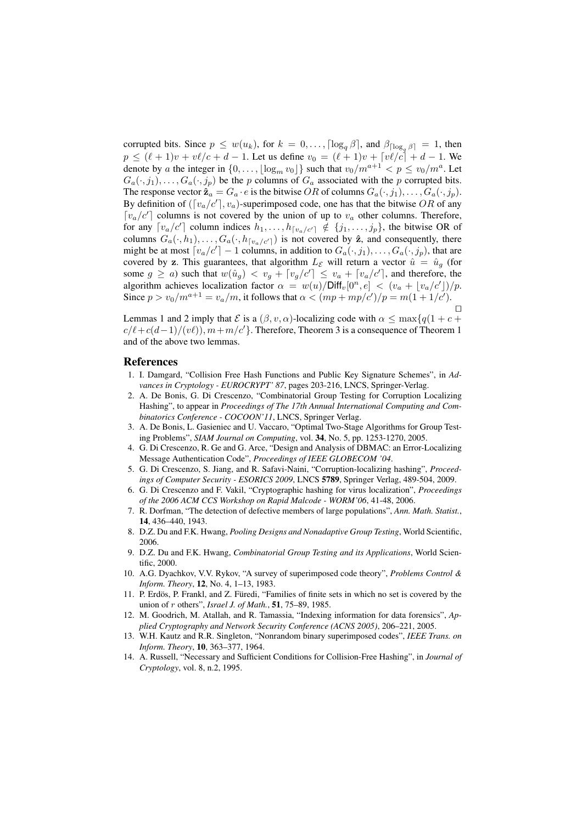corrupted bits. Since  $p \leq w(u_k)$ , for  $k = 0, \ldots, \lceil \log_q \beta \rceil$ , and  $\beta_{\lceil \log_q \beta \rceil} = 1$ , then  $p \leq (\ell + 1)v + v\ell/c + d - 1$ . Let us define  $v_0 = (\ell + 1)v + [v\ell/c] + d - 1$ . We denote by a the integer in  $\{0,\ldots,\lfloor \log_m v_0 \rfloor\}$  such that  $v_0/m^{a+1} < p \le v_0/m^a$ . Let  $G_a(\cdot, j_1), \ldots, G_a(\cdot, j_p)$  be the p columns of  $G_a$  associated with the p corrupted bits. The response vector  $\hat{\mathbf{z}}_a = G_a \cdot e$  is the bitwise OR of columns  $G_a(\cdot, j_1), \ldots, G_a(\cdot, j_p)$ . By definition of  $([v_a/c'], v_a)$ -superimposed code, one has that the bitwise OR of any  $\lceil v_a/c' \rceil$  columns is not covered by the union of up to  $v_a$  other columns. Therefore, for any  $[v_a/c']$  column indices  $h_1, \ldots, h_{[v_a/c']}\notin \{j_1, \ldots, j_p\}$ , the bitwise OR of columns  $G_a(\cdot, h_1), \ldots, G_a(\cdot, h_{\lceil v_a/c'\rceil})$  is not covered by  $\hat{z}$ , and consequently, there might be at most  $[v_a/c'] - 1$  columns, in addition to  $G_a(\cdot, j_1), \ldots, G_a(\cdot, j_p)$ , that are covered by z. This guarantees, that algorithm  $L_{\mathcal{E}}$  will return a vector  $\hat{u} = \hat{u}_g$  (for some  $g \ge a$ ) such that  $w(\hat{u}_g) < v_g + [v_g/c'] \le v_a + [v_a/c']$ , and therefore, the algorithm achieves localization factor  $\alpha = w(u)/\text{Diff}_v[0^n, e] < (v_a + \lfloor v_a/c' \rfloor)/p$ . Since  $p > v_0/m^{a+1} = v_a/m$ , it follows that  $\alpha < (mp + mp/c')/p = m(1 + 1/c')$ .

Lemmas 1 and 2 imply that  $\mathcal{E}$  is a  $(\beta, v, \alpha)$ -localizing code with  $\alpha \leq \max\{q(1+c+\alpha)\}$  $c/\ell + c(d-1)/(v\ell)$ ,  $m+m/c'$ }. Therefore, Theorem 3 is a consequence of Theorem 1 and of the above two lemmas.

# **References**

- 1. I. Damgard, "Collision Free Hash Functions and Public Key Signature Schemes", in *Advances in Cryptology - EUROCRYPT' 87*, pages 203-216, LNCS, Springer-Verlag.
- 2. A. De Bonis, G. Di Crescenzo, "Combinatorial Group Testing for Corruption Localizing Hashing", to appear in *Proceedings of The 17th Annual International Computing and Combinatorics Conference - COCOON'11*, LNCS, Springer Verlag.
- 3. A. De Bonis, L. Gasieniec and U. Vaccaro, "Optimal Two-Stage Algorithms for Group Testing Problems", *SIAM Journal on Computing*, vol. 34, No. 5, pp. 1253-1270, 2005.
- 4. G. Di Crescenzo, R. Ge and G. Arce, "Design and Analysis of DBMAC: an Error-Localizing Message Authentication Code", *Proceedings of IEEE GLOBECOM '04*.
- 5. G. Di Crescenzo, S. Jiang, and R. Safavi-Naini, "Corruption-localizing hashing", *Proceedings of Computer Security - ESORICS 2009*, LNCS 5789, Springer Verlag, 489-504, 2009.
- 6. G. Di Crescenzo and F. Vakil, "Cryptographic hashing for virus localization", *Proceedings of the 2006 ACM CCS Workshop on Rapid Malcode - WORM'06*, 41-48, 2006.
- 7. R. Dorfman, "The detection of defective members of large populations", *Ann. Math. Statist.*, 14, 436–440, 1943.
- 8. D.Z. Du and F.K. Hwang, *Pooling Designs and Nonadaptive Group Testing*, World Scientific, 2006.
- 9. D.Z. Du and F.K. Hwang, *Combinatorial Group Testing and its Applications*, World Scientific, 2000.
- 10. A.G. Dyachkov, V.V. Rykov, "A survey of superimposed code theory", *Problems Control & Inform. Theory*, 12, No. 4, 1–13, 1983.
- 11. P. Erdös, P. Frankl, and Z. Füredi, "Families of finite sets in which no set is covered by the union of *r* others", *Israel J. of Math.*, 51, 75–89, 1985.
- 12. M. Goodrich, M. Atallah, and R. Tamassia, "Indexing information for data forensics", *Applied Cryptography and Network Security Conference (ACNS 2005)*, 206–221, 2005.
- 13. W.H. Kautz and R.R. Singleton, "Nonrandom binary superimposed codes", *IEEE Trans. on Inform. Theory*, 10, 363–377, 1964.
- 14. A. Russell, "Necessary and Sufficient Conditions for Collision-Free Hashing", in *Journal of Cryptology*, vol. 8, n.2, 1995.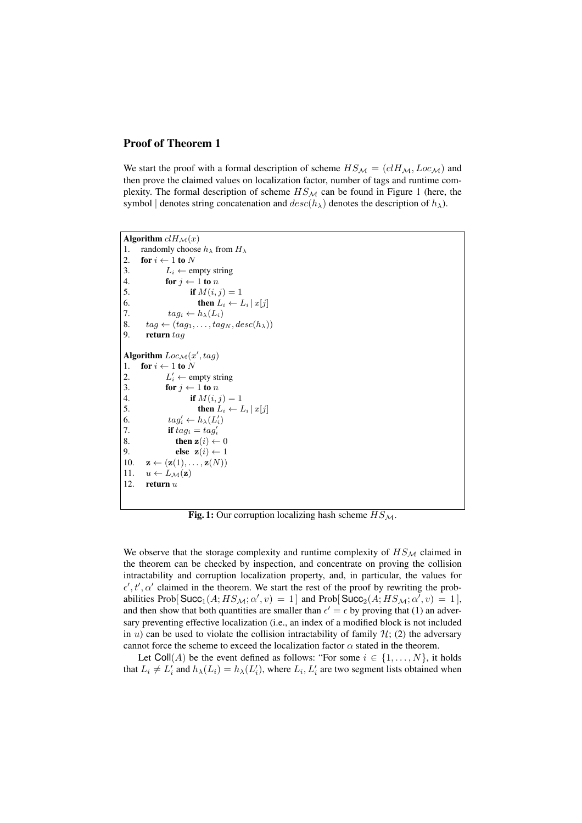# Proof of Theorem 1

We start the proof with a formal description of scheme  $HS_{\mathcal{M}} = (cI H_{\mathcal{M}}, Loc_{\mathcal{M}})$  and then prove the claimed values on localization factor, number of tags and runtime complexity. The formal description of scheme  $HS_{\mathcal{M}}$  can be found in Figure 1 (here, the symbol | denotes string concatenation and  $desc(h_\lambda)$  denotes the description of  $h_\lambda$ ).

```
Algorithm clH_{\mathcal{M}}(x)<br>1. randomly choose
         randomly choose h_{\lambda} from H_{\lambda}2. for i \leftarrow 1 to N<br>3. L_i \leftarrow er
3. L_i \leftarrow \text{empty string}<br>4. for j \leftarrow 1 to n
4. for j \leftarrow 1 to n<br>5. if M(i).
                                    if M(i, j) = 16. then L_i \leftarrow L_i | x[j]<br>7. taq_i \leftarrow h_{\lambda}(L_i)7. tag_i \leftarrow h_{\lambda}(L_i)<br>8. taq \leftarrow (taq_1, \ldots, taq)8. tag \leftarrow (tag_1, \ldots, tag_N, desc(h_\lambda))<br>9. return tag
            9. return tag
Algorithm Loc_{\mathcal{M}}(x',tag)1. for i \leftarrow 1 to N<br>2. L'_i \leftarrow e^{i\theta}2. L'_i \leftarrow \text{empty string}3. for j \leftarrow 1 to n<br>4. if M(i, j)if M(i, j) = 15. then L_i \leftarrow L_i | x[j]<br>6. tag_i' \leftarrow h_{\lambda}(L_i')6. tag_i' \leftarrow h_{\lambda}(L_i')7. if tag_i = tag'_i8. then z(i) \leftarrow 0<br>9. else z(i) \leftarrow 19. else \mathbf{z}(i) \leftarrow 1<br>10. \mathbf{z} \leftarrow (\mathbf{z}(1), \dots, \mathbf{z}(N))10. \mathbf{z} \leftarrow (\mathbf{z}(1), \ldots, \mathbf{z}(N))<br>11. u \leftarrow L_{\mathcal{M}}(\mathbf{z})11. u \leftarrow L_{\mathcal{M}}(\mathbf{z})<br>12. return u
            12. return u
```
Fig. 1: Our corruption localizing hash scheme  $HS_M$ .

We observe that the storage complexity and runtime complexity of  $HS_{\mathcal{M}}$  claimed in the theorem can be checked by inspection, and concentrate on proving the collision intractability and corruption localization property, and, in particular, the values for  $\epsilon', t', \alpha'$  claimed in the theorem. We start the rest of the proof by rewriting the probabilities Prob[ $Succ_1(A; HS_M; \alpha', v) = 1$ ] and Prob[ $Succ_2(A; HS_M; \alpha', v) = 1$ ], and then show that both quantities are smaller than  $\epsilon' = \epsilon$  by proving that (1) an adversary preventing effective localization (i.e., an index of a modified block is not included in u) can be used to violate the collision intractability of family  $H$ ; (2) the adversary cannot force the scheme to exceed the localization factor  $\alpha$  stated in the theorem.

Let Coll(A) be the event defined as follows: "For some  $i \in \{1, ..., N\}$ , it holds that  $L_i \neq L'_i$  and  $h_\lambda(L_i) = h_\lambda(L'_i)$ , where  $L_i, L'_i$  are two segment lists obtained when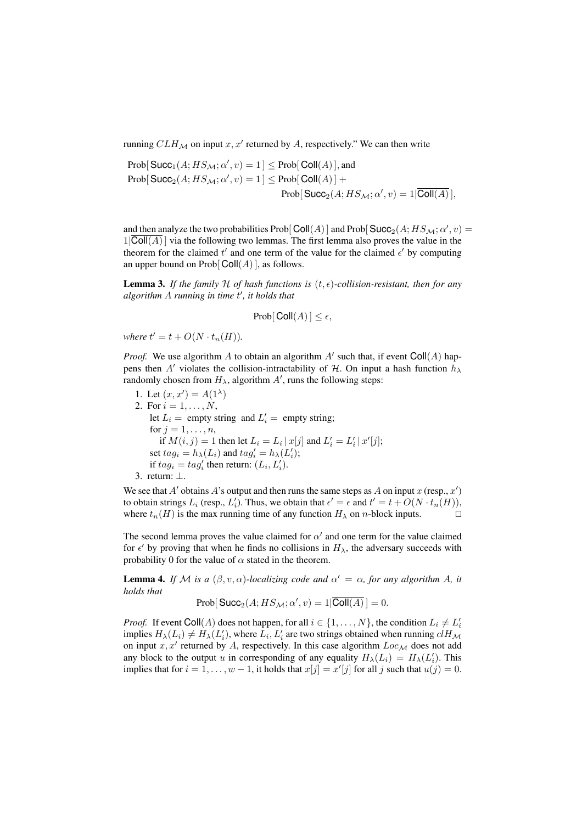running  $CLH_{\mathcal{M}}$  on input  $x, x'$  returned by A, respectively." We can then write

$$
\begin{aligned} \mbox{Prob}[\,\text{Succ}_1(A; HS_{\mathcal{M}}; \alpha', v) = 1\,] &\leq \text{Prob}[\,\text{Coll}(A)\,], \text{and} \\ \mbox{Prob}[\,\text{Succ}_2(A; HS_{\mathcal{M}}; \alpha', v) = 1\,] &\leq \text{Prob}[\,\text{Coll}(A)\,] + \\ &\qquad \qquad \text{Prob}[\,\text{Succ}_2(A; HS_{\mathcal{M}}; \alpha', v) = 1 | \overline{\text{Coll}(A)}\,], \end{aligned}
$$

and then analyze the two probabilities Prob[Coll(A)] and Prob[Succ<sub>2</sub>(A;  $HS_{\mathcal{M}}; \alpha', v$ ) =  $1|\overline{\text{Coll}(A)}|$  via the following two lemmas. The first lemma also proves the value in the theorem for the claimed  $t'$  and one term of the value for the claimed  $\epsilon'$  by computing an upper bound on  $Prob[Coll(A)]$ , as follows.

**Lemma 3.** If the family H of hash functions is  $(t, \epsilon)$ -collision-resistant, then for any *algorithm* A *running in time* t " *, it holds that*

Prob[ $\text{Coll}(A)$ ]  $\leq \epsilon$ ,

where  $t' = t + O(N \cdot t_n(H)).$ 

*Proof.* We use algorithm A to obtain an algorithm  $A'$  such that, if event  $Coll(A)$  happens then A' violates the collision-intractability of H. On input a hash function  $h_{\lambda}$ randomly chosen from  $H_{\lambda}$ , algorithm  $A'$ , runs the following steps:

1. Let  $(x, x') = A(1^{\lambda})$ 2. For  $i = 1, ..., N$ , let  $L_i$  = empty string and  $L'_i$  = empty string; for  $j = 1, \ldots, n$ , if  $M(i, j) = 1$  then let  $L_i = L_i |x[j]$  and  $L'_i = L'_i |x'[j];$ set  $tag_i = h_{\lambda}(L_i)$  and  $tag_i' = h_{\lambda}(L_i')$ ; if  $tag_i = tag'_i$  then return:  $(L_i, L'_i)$ . 3. return: ⊥.

We see that A' obtains A's output and then runs the same steps as A on input x (resp.,  $x'$ ) to obtain strings  $L_i$  (resp.,  $L'_i$ ). Thus, we obtain that  $\epsilon' = \epsilon$  and  $t' = t + O(N \cdot t_n(H)),$ where  $t_n(H)$  is the max running time of any function  $H_\lambda$  on n-block inputs.  $\Box$ 

The second lemma proves the value claimed for  $\alpha'$  and one term for the value claimed for  $\epsilon'$  by proving that when he finds no collisions in  $H_{\lambda}$ , the adversary succeeds with probability 0 for the value of  $\alpha$  stated in the theorem.

**Lemma 4.** *If* M *is a*  $(\beta, v, \alpha)$ *-localizing code and*  $\alpha' = \alpha$ *, for any algorithm A, it holds that*

$$
Prob[Succ2(A; HSM; \alpha', v) = 1|Coll(A)] = 0.
$$

*Proof.* If event Coll(A) does not happen, for all  $i \in \{1, ..., N\}$ , the condition  $L_i \neq L'_i$ implies  $H_{\lambda}(L_i) \neq H_{\lambda}(L'_i)$ , where  $L_i, L'_i$  are two strings obtained when running  $clH_{\lambda}$ on input  $x, x'$  returned by A, respectively. In this case algorithm  $Loc_\mathcal{M}$  does not add any block to the output u in corresponding of any equality  $H_{\lambda}(L_i) = H_{\lambda}(L'_i)$ . This implies that for  $i = 1, ..., w - 1$ , it holds that  $x[j] = x'[j]$  for all  $j$  such that  $u(j) = 0$ .